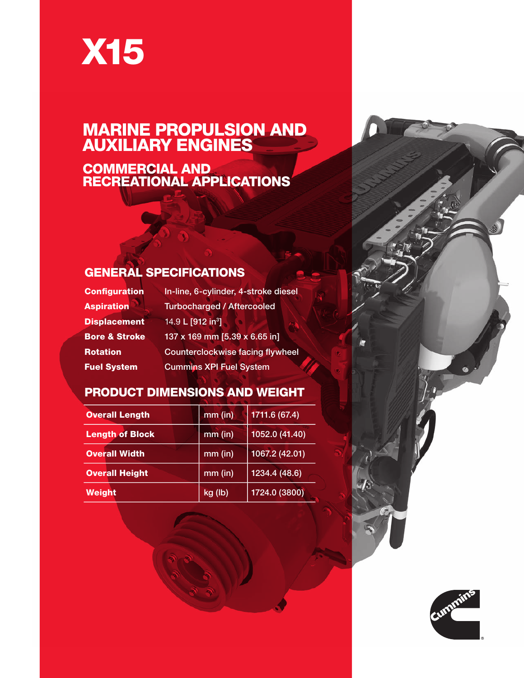# X15

#### MARINE PROPULSION AND AUXILIARY ENGINES

COMMERCIAL AND RECREATIONAL APPLICATIONS

#### GENERAL SPECIFICATIONS

| <b>Configuration</b>     | In-line, 6-cylinder, 4-stroke diesel    |  |  |  |  |  |
|--------------------------|-----------------------------------------|--|--|--|--|--|
| <b>Aspiration</b>        | <b>Turbocharged / Aftercooled</b>       |  |  |  |  |  |
| <b>Displacement</b>      | 14.9 L [912 in <sup>3</sup> ]           |  |  |  |  |  |
| <b>Bore &amp; Stroke</b> | 137 x 169 mm [5.39 x 6.65 in]           |  |  |  |  |  |
| <b>Rotation</b>          | <b>Counterclockwise facing flywheel</b> |  |  |  |  |  |
| <b>Fuel System</b>       | <b>Cummins XPI Fuel System</b>          |  |  |  |  |  |

#### PRODUCT DIMENSIONS AND WEIGHT

| <b>Overall Length</b>  | $mm$ (in) | 1711.6 (67.4)  |  |  |  |
|------------------------|-----------|----------------|--|--|--|
| <b>Length of Block</b> | $mm$ (in) | 1052.0 (41.40) |  |  |  |
| <b>Overall Width</b>   | $mm$ (in) | 1067.2 (42.01) |  |  |  |
| <b>Overall Height</b>  | $mm$ (in) | 1234.4(48.6)   |  |  |  |
| <b>Weight</b>          | kg (lb)   | 1724.0 (3800)  |  |  |  |